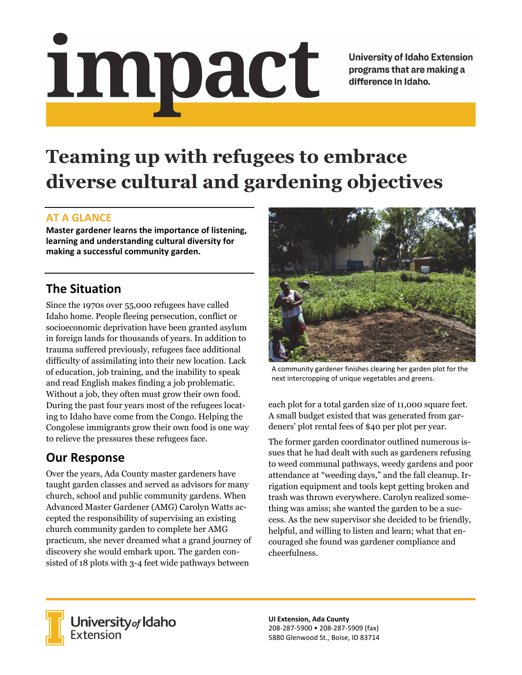# Impact

**University of Idaho Extension** programs that are making a difference in Idaho.

# **Teaming up with refugees to embrace diverse cultural and gardening objectives**

#### **AT A GLANCE**

**Master gardener learns the importance of listening, learning and understanding cultural diversity for making a successful community garden.** 

### **The Situation**

Since the 1970s over 55,000 refugees have called Idaho home. People fleeing persecution, conflict or socioeconomic deprivation have been granted asylum in foreign lands for thousands of years. In addition to trauma suffered previously, refugees face additional difficulty of assimilating into their new location. Lack of education, job training, and the inability to speak and read English makes finding a job problematic. Without a job, they often must grow their own food. During the past four years most of the refugees locating to Idaho have come from the Congo. Helping the Congolese immigrants grow their own food is one way to relieve the pressures these refugees face.

## **Our Response**

Over the years, Ada County master gardeners have taught garden classes and served as advisors for many church, school and public community gardens. When Advanced Master Gardener (AMG) Carolyn Watts accepted the responsibility of supervising an existing church community garden to complete her AMG practicum, she never dreamed what a grand journey of discovery she would embark upon. The garden consisted of 18 plots with 3-4 feet wide pathways between



A community gardener finishes clearing her garden plot for the next intercropping of unique vegetables and greens.

each plot for a total garden size of 11,000 square feet. A small budget existed that was generated from gardeners' plot rental fees of \$40 per plot per year.

The former garden coordinator outlined numerous issues that he had dealt with such as gardeners refusing to weed communal pathways, weedy gardens and poor attendance at "weeding days," and the fall cleanup. Irrigation equipment and tools kept getting broken and trash was thrown everywhere. Carolyn realized something was amiss; she wanted the garden to be a success. As the new supervisor she decided to be friendly, helpful, and willing to listen and learn; what that encouraged she found was gardener compliance and cheerfulness.



**University** of Idaho<br>Extension

**UI Extension, Ada County**  208‐287‐5900 • 208‐287‐5909 (fax) 5880 Glenwood St., Boise, ID 83714